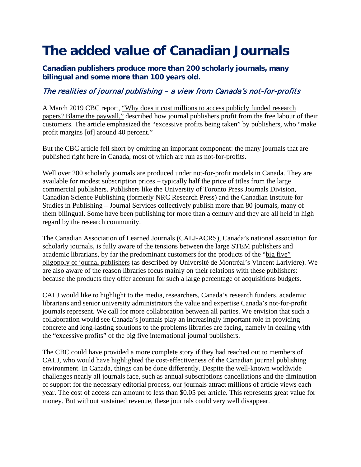## **The added value of Canadian Journals**

**Canadian publishers produce more than 200 scholarly journals, many bilingual and some more than 100 years old.** 

## The realities of journal publishing – a view from Canada's not-for-profits

A March 2019 CBC report, ["Why does it cost millions to access publicly funded research](https://www.cbc.ca/news/health/research-public-funding-academic-journal-subscriptions-elsevier-librarians-university-of-california-1.5049597)  [papers? Blame the paywall,"](https://www.cbc.ca/news/health/research-public-funding-academic-journal-subscriptions-elsevier-librarians-university-of-california-1.5049597) described how journal publishers profit from the free labour of their customers. The article emphasized the "excessive profits being taken" by publishers, who "make profit margins [of] around 40 percent."

But the CBC article fell short by omitting an important component: the many journals that are published right here in Canada, most of which are run as not-for-profits.

Well over 200 scholarly journals are produced under not-for-profit models in Canada. They are available for modest subscription prices – typically half the price of titles from the large commercial publishers. Publishers like the University of Toronto Press Journals Division, Canadian Science Publishing (formerly NRC Research Press) and the Canadian Institute for Studies in Publishing – Journal Services collectively publish more than 80 journals, many of them bilingual. Some have been publishing for more than a century and they are all held in high regard by the research community.

The Canadian Association of Learned Journals (CALJ-ACRS), Canada's national association for scholarly journals, is fully aware of the tensions between the large STEM publishers and academic librarians, by far the predominant customers for the products of the ["big five"](https://journals.plos.org/plosone/article?id=10.1371/journal.pone.0127502) [oligopoly of journal publishers](https://journals.plos.org/plosone/article?id=10.1371/journal.pone.0127502) (as described by Université de Montréal's Vincent Larivière). We are also aware of the reason libraries focus mainly on their relations with these publishers: because the products they offer account for such a large percentage of acquisitions budgets.

CALJ would like to highlight to the media, researchers, Canada's research funders, academic librarians and senior university administrators the value and expertise Canada's not-for-profit journals represent. We call for more collaboration between all parties. We envision that such a collaboration would see Canada's journals play an increasingly important role in providing concrete and long-lasting solutions to the problems libraries are facing, namely in dealing with the "excessive profits" of the big five international journal publishers.

The CBC could have provided a more complete story if they had reached out to members of CALJ, who would have highlighted the cost-effectiveness of the Canadian journal publishing environment. In Canada, things can be done differently. Despite the well-known worldwide challenges nearly all journals face, such as annual subscriptions cancellations and the diminution of support for the necessary editorial process, our journals attract millions of article views each year. The cost of access can amount to less than \$0.05 per article. This represents great value for money. But without sustained revenue, these journals could very well disappear.